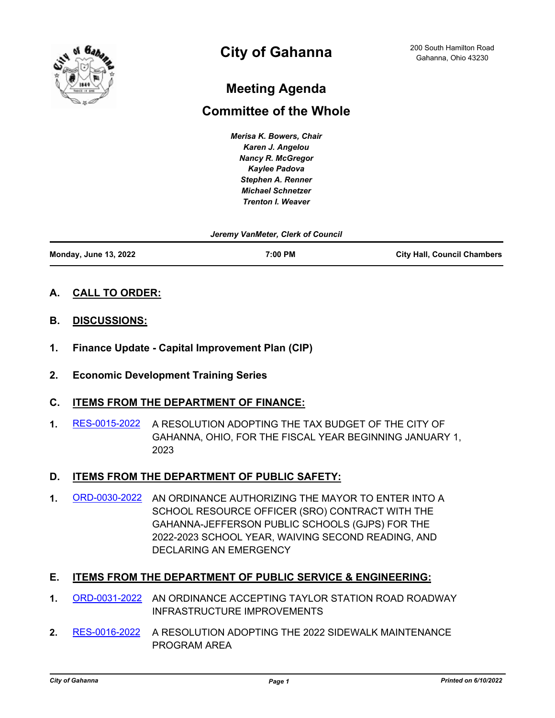

# **City of Gahanna**

## **Meeting Agenda**

## **Committee of the Whole**

*Merisa K. Bowers, Chair Karen J. Angelou Nancy R. McGregor Kaylee Padova Stephen A. Renner Michael Schnetzer Trenton I. Weaver*

| Jeremy VanMeter, Clerk of Council |         |                                    |
|-----------------------------------|---------|------------------------------------|
| <b>Monday, June 13, 2022</b>      | 7:00 PM | <b>City Hall, Council Chambers</b> |

- **A. CALL TO ORDER:**
- **B. DISCUSSIONS:**
- **1. Finance Update Capital Improvement Plan (CIP)**
- **2. Economic Development Training Series**

## **C. ITEMS FROM THE DEPARTMENT OF FINANCE:**

**1.** [RES-0015-2022](http://gahanna.legistar.com/gateway.aspx?m=l&id=/matter.aspx?key=17009) A RESOLUTION ADOPTING THE TAX BUDGET OF THE CITY OF GAHANNA, OHIO, FOR THE FISCAL YEAR BEGINNING JANUARY 1, 2023

## **D. ITEMS FROM THE DEPARTMENT OF PUBLIC SAFETY:**

**1.** [ORD-0030-2022](http://gahanna.legistar.com/gateway.aspx?m=l&id=/matter.aspx?key=17010) AN ORDINANCE AUTHORIZING THE MAYOR TO ENTER INTO A SCHOOL RESOURCE OFFICER (SRO) CONTRACT WITH THE GAHANNA-JEFFERSON PUBLIC SCHOOLS (GJPS) FOR THE 2022-2023 SCHOOL YEAR, WAIVING SECOND READING, AND DECLARING AN EMERGENCY

### **E. ITEMS FROM THE DEPARTMENT OF PUBLIC SERVICE & ENGINEERING:**

- **1.** [ORD-0031-2022](http://gahanna.legistar.com/gateway.aspx?m=l&id=/matter.aspx?key=17011) AN ORDINANCE ACCEPTING TAYLOR STATION ROAD ROADWAY INFRASTRUCTURE IMPROVEMENTS
- **2.** [RES-0016-2022](http://gahanna.legistar.com/gateway.aspx?m=l&id=/matter.aspx?key=17012) A RESOLUTION ADOPTING THE 2022 SIDEWALK MAINTENANCE PROGRAM AREA